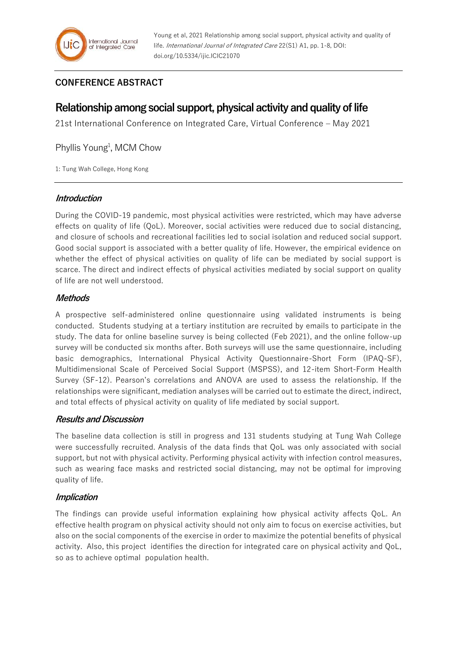## **CONFERENCE ABSTRACT**

# **Relationship among social support, physical activity and quality of life**

21st International Conference on Integrated Care, Virtual Conference – May 2021

Phyllis Young<sup>1</sup>, MCM Chow

1: Tung Wah College, Hong Kong

### **Introduction**

During the COVID-19 pandemic, most physical activities were restricted, which may have adverse effects on quality of life (QoL). Moreover, social activities were reduced due to social distancing, and closure of schools and recreational facilities led to social isolation and reduced social support. Good social support is associated with a better quality of life. However, the empirical evidence on whether the effect of physical activities on quality of life can be mediated by social support is scarce. The direct and indirect effects of physical activities mediated by social support on quality of life are not well understood.

## **Methods**

A prospective self-administered online questionnaire using validated instruments is being conducted. Students studying at a tertiary institution are recruited by emails to participate in the study. The data for online baseline survey is being collected (Feb 2021), and the online follow-up survey will be conducted six months after. Both surveys will use the same questionnaire, including basic demographics, International Physical Activity Questionnaire-Short Form (IPAQ-SF), Multidimensional Scale of Perceived Social Support (MSPSS), and 12-item Short-Form Health Survey (SF-12). Pearson's correlations and ANOVA are used to assess the relationship. If the relationships were significant, mediation analyses will be carried out to estimate the direct, indirect, and total effects of physical activity on quality of life mediated by social support.

## **Results and Discussion**

The baseline data collection is still in progress and 131 students studying at Tung Wah College were successfully recruited. Analysis of the data finds that QoL was only associated with social support, but not with physical activity. Performing physical activity with infection control measures, such as wearing face masks and restricted social distancing, may not be optimal for improving quality of life.

## **Implication**

The findings can provide useful information explaining how physical activity affects QoL. An effective health program on physical activity should not only aim to focus on exercise activities, but also on the social components of the exercise in order to maximize the potential benefits of physical activity. Also, this project identifies the direction for integrated care on physical activity and QoL, so as to achieve optimal population health.